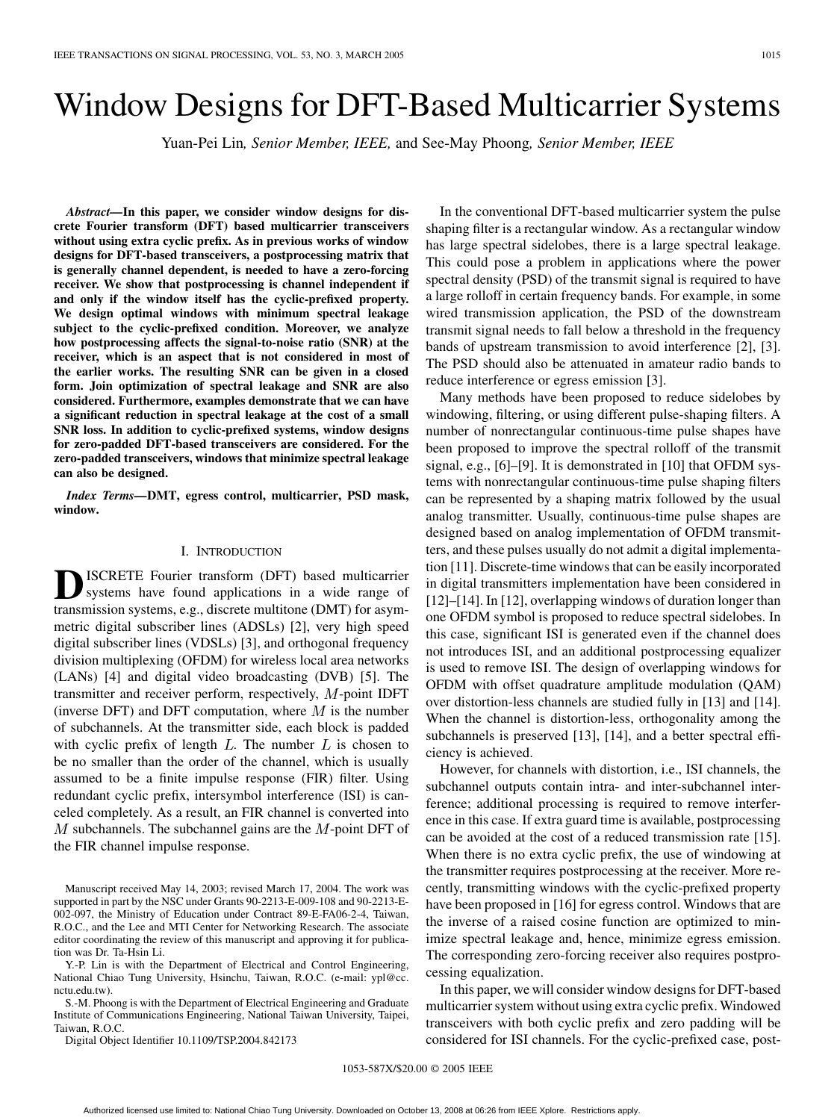# Window Designs for DFT-Based Multicarrier Systems

Yuan-Pei Lin*, Senior Member, IEEE,* and See-May Phoong*, Senior Member, IEEE*

*Abstract—***In this paper, we consider window designs for discrete Fourier transform (DFT) based multicarrier transceivers without using extra cyclic prefix. As in previous works of window designs for DFT-based transceivers, a postprocessing matrix that is generally channel dependent, is needed to have a zero-forcing receiver. We show that postprocessing is channel independent if and only if the window itself has the cyclic-prefixed property. We design optimal windows with minimum spectral leakage subject to the cyclic-prefixed condition. Moreover, we analyze how postprocessing affects the signal-to-noise ratio (SNR) at the receiver, which is an aspect that is not considered in most of the earlier works. The resulting SNR can be given in a closed form. Join optimization of spectral leakage and SNR are also considered. Furthermore, examples demonstrate that we can have a significant reduction in spectral leakage at the cost of a small SNR loss. In addition to cyclic-prefixed systems, window designs for zero-padded DFT-based transceivers are considered. For the zero-padded transceivers, windows that minimize spectral leakage can also be designed.**

*Index Terms—***DMT, egress control, multicarrier, PSD mask, window.**

## I. INTRODUCTION

**D**ISCRETE Fourier transform (DFT) based multicarrier<br>systems have found applications in a wide range of<br>transmission systems a.g. discrete multitane (DMT) for serm transmission systems, e.g., discrete multitone (DMT) for asymmetric digital subscriber lines (ADSLs) [[2](#page-8-0)], very high speed digital subscriber lines (VDSLs) [\[3](#page-8-0)], and orthogonal frequency division multiplexing (OFDM) for wireless local area networks (LANs) [\[4](#page-8-0)] and digital video broadcasting (DVB) [\[5](#page-8-0)]. The transmitter and receiver perform, respectively,  $M$ -point IDFT (inverse DFT) and DFT computation, where  $M$  is the number of subchannels. At the transmitter side, each block is padded with cyclic prefix of length  $L$ . The number  $L$  is chosen to be no smaller than the order of the channel, which is usually assumed to be a finite impulse response (FIR) filter. Using redundant cyclic prefix, intersymbol interference (ISI) is canceled completely. As a result, an FIR channel is converted into  $M$  subchannels. The subchannel gains are the  $M$ -point DFT of the FIR channel impulse response.

Manuscript received May 14, 2003; revised March 17, 2004. The work was supported in part by the NSC under Grants 90-2213-E-009-108 and 90-2213-E-002-097, the Ministry of Education under Contract 89-E-FA06-2-4, Taiwan, R.O.C., and the Lee and MTI Center for Networking Research. The associate editor coordinating the review of this manuscript and approving it for publication was Dr. Ta-Hsin Li.

Y.-P. Lin is with the Department of Electrical and Control Engineering, National Chiao Tung University, Hsinchu, Taiwan, R.O.C. (e-mail: ypl@cc. nctu.edu.tw).

S.-M. Phoong is with the Department of Electrical Engineering and Graduate Institute of Communications Engineering, National Taiwan University, Taipei, Taiwan, R.O.C.

Digital Object Identifier 10.1109/TSP.2004.842173

In the conventional DFT-based multicarrier system the pulse shaping filter is a rectangular window. As a rectangular window has large spectral sidelobes, there is a large spectral leakage. This could pose a problem in applications where the power spectral density (PSD) of the transmit signal is required to have a large rolloff in certain frequency bands. For example, in some wired transmission application, the PSD of the downstream transmit signal needs to fall below a threshold in the frequency bands of upstream transmission to avoid interference [[2\]](#page-8-0), [\[3](#page-8-0)]. The PSD should also be attenuated in amateur radio bands to reduce interference or egress emission [[3](#page-8-0)].

Many methods have been proposed to reduce sidelobes by windowing, filtering, or using different pulse-shaping filters. A number of nonrectangular continuous-time pulse shapes have been proposed to improve the spectral rolloff of the transmit signal, e.g., [[6\]](#page-8-0)–[[9\]](#page-8-0). It is demonstrated in [\[10](#page-8-0)] that OFDM systems with nonrectangular continuous-time pulse shaping filters can be represented by a shaping matrix followed by the usual analog transmitter. Usually, continuous-time pulse shapes are designed based on analog implementation of OFDM transmitters, and these pulses usually do not admit a digital implementation [[11\]](#page-8-0). Discrete-time windows that can be easily incorporated in digital transmitters implementation have been considered in [\[12](#page-8-0)]–[\[14\]](#page-8-0). In [12], overlapping windows of duration longer than one OFDM symbol is proposed to reduce spectral sidelobes. In this case, significant ISI is generated even if the channel does not introduces ISI, and an additional postprocessing equalizer is used to remove ISI. The design of overlapping windows for OFDM with offset quadrature amplitude modulation (QAM) over distortion-less channels are studied fully in [[13\]](#page-8-0) and [\[14](#page-8-0)]. When the channel is distortion-less, orthogonality among the subchannels is preserved [\[13](#page-8-0)], [[14\]](#page-8-0), and a better spectral efficiency is achieved.

However, for channels with distortion, i.e., ISI channels, the subchannel outputs contain intra- and inter-subchannel interference; additional processing is required to remove interference in this case. If extra guard time is available, postprocessing can be avoided at the cost of a reduced transmission rate [\[15](#page-8-0)]. When there is no extra cyclic prefix, the use of windowing at the transmitter requires postprocessing at the receiver. More recently, transmitting windows with the cyclic-prefixed property have been proposed in [\[16](#page-8-0)] for egress control. Windows that are the inverse of a raised cosine function are optimized to minimize spectral leakage and, hence, minimize egress emission. The corresponding zero-forcing receiver also requires postprocessing equalization.

In this paper, we will consider window designs for DFT-based multicarrier system without using extra cyclic prefix. Windowed transceivers with both cyclic prefix and zero padding will be considered for ISI channels. For the cyclic-prefixed case, post-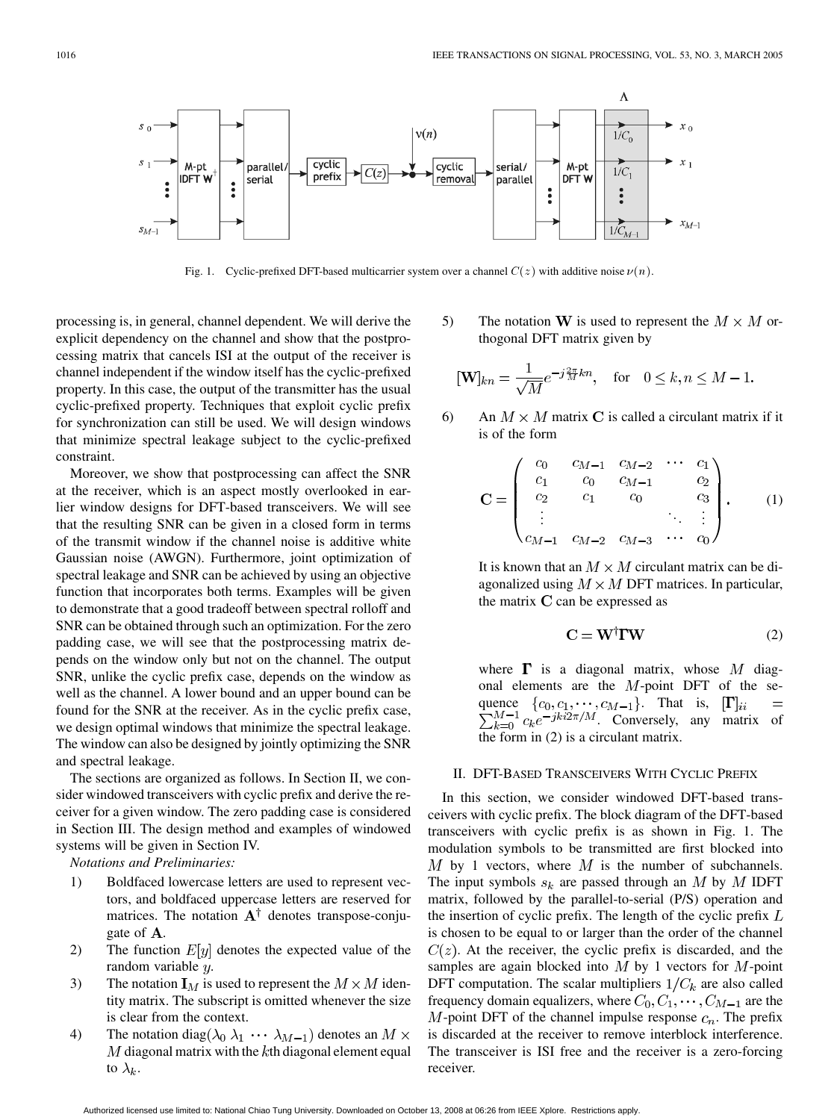

Fig. 1. Cyclic-prefixed DFT-based multicarrier system over a channel  $C(z)$  with additive noise  $\nu(n)$ .

processing is, in general, channel dependent. We will derive the explicit dependency on the channel and show that the postprocessing matrix that cancels ISI at the output of the receiver is channel independent if the window itself has the cyclic-prefixed property. In this case, the output of the transmitter has the usual cyclic-prefixed property. Techniques that exploit cyclic prefix for synchronization can still be used. We will design windows that minimize spectral leakage subject to the cyclic-prefixed constraint.

Moreover, we show that postprocessing can affect the SNR at the receiver, which is an aspect mostly overlooked in earlier window designs for DFT-based transceivers. We will see that the resulting SNR can be given in a closed form in terms of the transmit window if the channel noise is additive white Gaussian noise (AWGN). Furthermore, joint optimization of spectral leakage and SNR can be achieved by using an objective function that incorporates both terms. Examples will be given to demonstrate that a good tradeoff between spectral rolloff and SNR can be obtained through such an optimization. For the zero padding case, we will see that the postprocessing matrix depends on the window only but not on the channel. The output SNR, unlike the cyclic prefix case, depends on the window as well as the channel. A lower bound and an upper bound can be found for the SNR at the receiver. As in the cyclic prefix case, we design optimal windows that minimize the spectral leakage. The window can also be designed by jointly optimizing the SNR and spectral leakage.

The sections are organized as follows. In Section II, we consider windowed transceivers with cyclic prefix and derive the receiver for a given window. The zero padding case is considered in Section III. The design method and examples of windowed systems will be given in Section IV.

*Notations and Preliminaries:*

- 1) Boldfaced lowercase letters are used to represent vectors, and boldfaced uppercase letters are reserved for matrices. The notation  $A^{\dagger}$  denotes transpose-conjugate of **A**.
- 2) The function  $E[y]$  denotes the expected value of the random variable *.*
- 3) The notation  $\mathbf{I}_M$  is used to represent the  $M \times M$  identity matrix. The subscript is omitted whenever the size is clear from the context.
- 4) The notation diag( $\lambda_0 \lambda_1 \cdots \lambda_{M-1}$ ) denotes an  $M \times$  $M$  diagonal matrix with the kth diagonal element equal to  $\lambda_k$ .

5) The notation **W** is used to represent the  $M \times M$  orthogonal DFT matrix given by

$$
[\mathbf{W}]_{kn} = \frac{1}{\sqrt{M}} e^{-j\frac{2\pi}{M}kn}, \quad \text{for} \quad 0 \le k, n \le M - 1.
$$

6) An  $M \times M$  matrix C is called a circulant matrix if it is of the form

$$
\mathbf{C} = \begin{pmatrix} c_0 & c_{M-1} & c_{M-2} & \cdots & c_1 \\ c_1 & c_0 & c_{M-1} & c_2 \\ c_2 & c_1 & c_0 & c_3 \\ \vdots & \vdots & \ddots & \vdots \\ c_{M-1} & c_{M-2} & c_{M-3} & \cdots & c_0 \end{pmatrix} .
$$
 (1)

It is known that an  $M \times M$  circulant matrix can be diagonalized using  $M \times M$  DFT matrices. In particular, the matrix  $C$  can be expressed as

$$
C = W^{\dagger} \Gamma W \tag{2}
$$

where  $\Gamma$  is a diagonal matrix, whose M diagonal elements are the  $M$ -point DFT of the sequence  $\{c_0, c_1, \cdots, c_{M-1}\}$ . That is, . Conversely, any matrix of the form in (2) is a circulant matrix.

## II. DFT-BASED TRANSCEIVERS WITH CYCLIC PREFIX

In this section, we consider windowed DFT-based transceivers with cyclic prefix. The block diagram of the DFT-based transceivers with cyclic prefix is as shown in Fig. 1. The modulation symbols to be transmitted are first blocked into M by 1 vectors, where M is the number of subchannels. The input symbols  $s_k$  are passed through an M by M IDFT matrix, followed by the parallel-to-serial (P/S) operation and the insertion of cyclic prefix. The length of the cyclic prefix  $L$ is chosen to be equal to or larger than the order of the channel  $C(z)$ . At the receiver, the cyclic prefix is discarded, and the samples are again blocked into  $M$  by 1 vectors for  $M$ -point DFT computation. The scalar multipliers  $1/C_k$  are also called frequency domain equalizers, where  $C_0, C_1, \dots, C_{M-1}$  are the M-point DFT of the channel impulse response  $c_n$ . The prefix is discarded at the receiver to remove interblock interference. The transceiver is ISI free and the receiver is a zero-forcing receiver.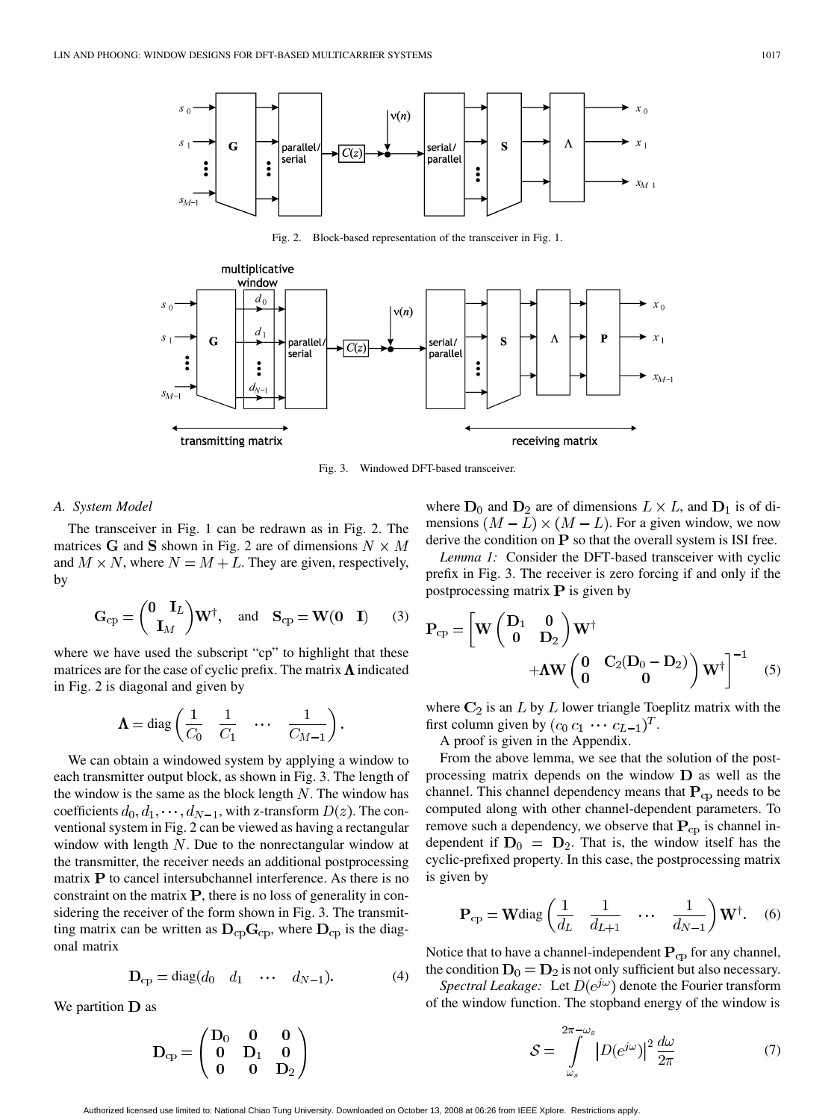

Fig. 2. Block-based representation of the transceiver in Fig. 1.



Fig. 3. Windowed DFT-based transceiver.

### *A. System Model*

The transceiver in Fig. 1 can be redrawn as in Fig. 2. The matrices G and S shown in Fig. 2 are of dimensions  $N \times M$ and  $M \times N$ , where  $N = M + L$ . They are given, respectively, by

$$
\mathbf{G}_{\rm cp} = \begin{pmatrix} \mathbf{0} & \mathbf{I}_L \\ \mathbf{I}_M \end{pmatrix} \mathbf{W}^{\dagger}, \text{ and } \mathbf{S}_{\rm cp} = \mathbf{W}(\mathbf{0} \quad \mathbf{I}) \tag{3}
$$

where we have used the subscript "cp" to highlight that these matrices are for the case of cyclic prefix. The matrix  $\Lambda$  indicated in Fig. 2 is diagonal and given by

$$
\mathbf{\Lambda} = \text{diag}\left(\frac{1}{C_0} \quad \frac{1}{C_1} \quad \cdots \quad \frac{1}{C_{M-1}}\right).
$$

We can obtain a windowed system by applying a window to each transmitter output block, as shown in Fig. 3. The length of the window is the same as the block length  $N$ . The window has coefficients  $d_0, d_1, \dots, d_{N-1}$ , with z-transform  $D(z)$ . The conventional system in Fig. 2 can be viewed as having a rectangular window with length  $N$ . Due to the nonrectangular window at the transmitter, the receiver needs an additional postprocessing matrix  $P$  to cancel intersubchannel interference. As there is no constraint on the matrix  $P$ , there is no loss of generality in considering the receiver of the form shown in Fig. 3. The transmitting matrix can be written as  ${\bf D}_{cp} {\bf G}_{cp}$ , where  ${\bf D}_{cp}$  is the diagonal matrix

$$
\mathbf{D}_{\rm cp} = \text{diag}(d_0 \quad d_1 \quad \cdots \quad d_{N-1}).\tag{4}
$$

We partition  **as** 

$$
\mathbf{D}_{\rm cp} = \begin{pmatrix} \mathbf{D}_0 & \mathbf{0} & \mathbf{0} \\ \mathbf{0} & \mathbf{D}_1 & \mathbf{0} \\ \mathbf{0} & \mathbf{0} & \mathbf{D}_2 \end{pmatrix}
$$

where  $D_0$  and  $D_2$  are of dimensions  $L \times L$ , and  $D_1$  is of dimensions  $(M - L) \times (M - L)$ . For a given window, we now derive the condition on  $P$  so that the overall system is ISI free.

*Lemma 1:* Consider the DFT-based transceiver with cyclic prefix in Fig. 3. The receiver is zero forcing if and only if the postprocessing matrix  $P$  is given by

$$
\mathbf{P}_{\rm cp} = \left[ \mathbf{W} \begin{pmatrix} \mathbf{D}_1 & \mathbf{0} \\ \mathbf{0} & \mathbf{D}_2 \end{pmatrix} \mathbf{W}^\dagger \right. \\ \left. + \mathbf{\Lambda} \mathbf{W} \begin{pmatrix} \mathbf{0} & \mathbf{C}_2 (\mathbf{D}_0 - \mathbf{D}_2) \\ \mathbf{0} & \mathbf{0} \end{pmatrix} \mathbf{W}^\dagger \right]^{-1} \tag{5}
$$

where  $C_2$  is an  $L$  by  $L$  lower triangle Toeplitz matrix with the first column given by  $(c_0 c_1 \cdots c_{L-1})^T$ .

A proof is given in the Appendix.

From the above lemma, we see that the solution of the postprocessing matrix depends on the window  **as well as the** channel. This channel dependency means that  $P_{cp}$  needs to be computed along with other channel-dependent parameters. To remove such a dependency, we observe that  $P_{\rm cp}$  is channel independent if  $D_0 = D_2$ . That is, the window itself has the cyclic-prefixed property. In this case, the postprocessing matrix is given by

$$
\mathbf{P}_{\rm cp} = \mathbf{W} \text{diag}\left(\frac{1}{d_L} \quad \frac{1}{d_{L+1}} \quad \cdots \quad \frac{1}{d_{N-1}}\right) \mathbf{W}^{\dagger}.
$$
 (6)

Notice that to have a channel-independent  $P_{cp}$  for any channel, the condition  $D_0 = D_2$  is not only sufficient but also necessary.

*Spectral Leakage:* Let  $D(e^{j\omega})$  denote the Fourier transform of the window function. The stopband energy of the window is

$$
S = \int_{\omega_s}^{2\pi - \omega_s} |D(e^{j\omega})|^2 \frac{d\omega}{2\pi}
$$
 (7)

Authorized licensed use limited to: National Chiao Tung University. Downloaded on October 13, 2008 at 06:26 from IEEE Xplore. Restrictions apply.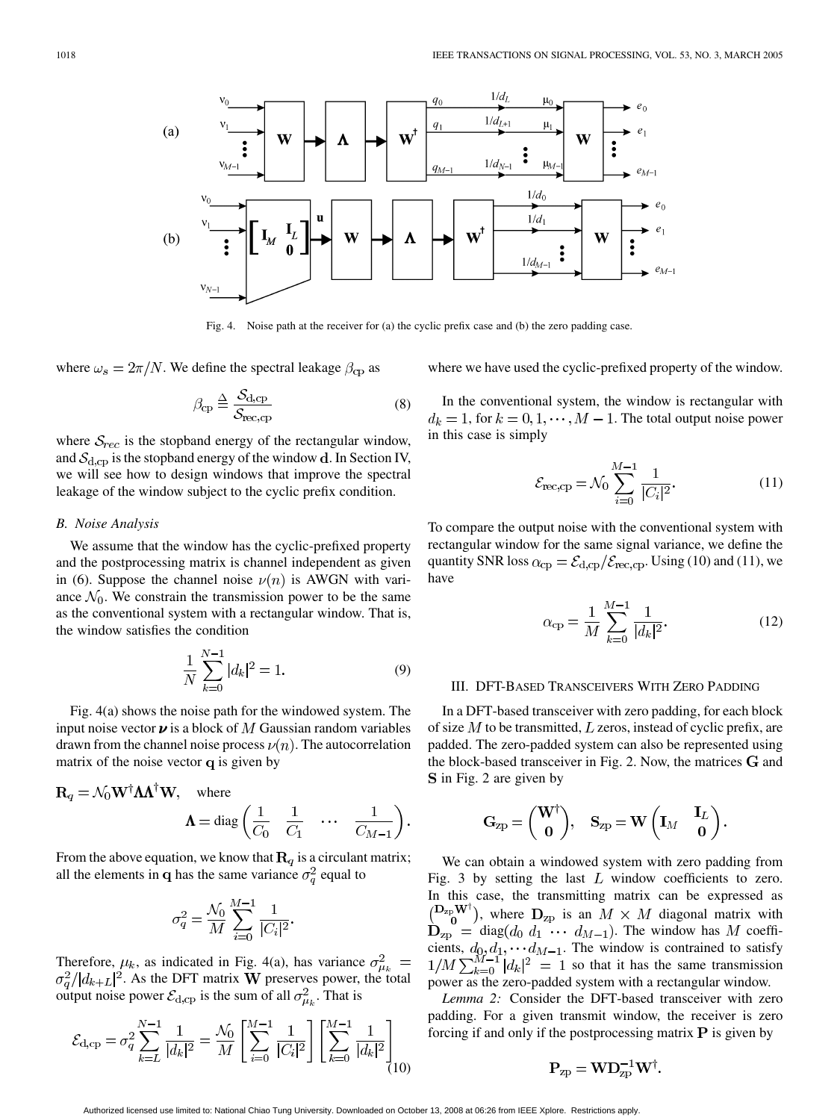

Fig. 4. Noise path at the receiver for (a) the cyclic prefix case and (b) the zero padding case.

where  $\omega_s = 2\pi/N$ . We define the spectral leakage  $\beta_{cp}$  as

$$
\beta_{\rm cp} \stackrel{\Delta}{=} \frac{\mathcal{S}_{\rm d, cp}}{\mathcal{S}_{\rm rec, cp}}\tag{8}
$$

where  $S_{rec}$  is the stopband energy of the rectangular window, and  $S_{d,cp}$  is the stopband energy of the window d. In Section IV, we will see how to design windows that improve the spectral leakage of the window subject to the cyclic prefix condition.

### *B. Noise Analysis*

We assume that the window has the cyclic-prefixed property and the postprocessing matrix is channel independent as given in (6). Suppose the channel noise  $\nu(n)$  is AWGN with variance  $\mathcal{N}_0$ . We constrain the transmission power to be the same as the conventional system with a rectangular window. That is, the window satisfies the condition

$$
\frac{1}{N} \sum_{k=0}^{N-1} |d_k|^2 = 1.
$$
\n(9)

Fig. 4(a) shows the noise path for the windowed system. The input noise vector  $\nu$  is a block of M Gaussian random variables drawn from the channel noise process  $\nu(n)$ . The autocorrelation matrix of the noise vector  $q$  is given by

$$
\mathbf{R}_q = \mathcal{N}_0 \mathbf{W}^\dagger \mathbf{\Lambda} \mathbf{\Lambda}^\dagger \mathbf{W}, \quad \text{where}
$$

$$
\mathbf{\Lambda} = \text{diag}\left(\frac{1}{C_0} \quad \frac{1}{C_1} \quad \cdots \quad \frac{1}{C_{M-1}}\right)
$$

From the above equation, we know that  $\mathbf{R}_q$  is a circulant matrix; all the elements in q has the same variance  $\sigma_q^2$  equal to

$$
\sigma_q^2 = \frac{\mathcal{N}_0}{M} \sum_{i=0}^{M-1} \frac{1}{|C_i|^2}
$$

Therefore,  $\mu_k$ , as indicated in Fig. 4(a), has variance . As the DFT matrix  $W$  preserves power, the total output noise power  $\mathcal{E}_{d,cp}$  is the sum of all  $\sigma_{u}^2$ . That is

$$
\mathcal{E}_{\rm d, cp} = \sigma_q^2 \sum_{k=L}^{N-1} \frac{1}{|d_k|^2} = \frac{\mathcal{N}_0}{M} \left[ \sum_{i=0}^{M-1} \frac{1}{|C_i|^2} \right] \left[ \sum_{k=0}^{M-1} \frac{1}{|d_k|^2} \right] \tag{10}
$$

where we have used the cyclic-prefixed property of the window.

In the conventional system, the window is rectangular with  $d_k = 1$ , for  $k = 0, 1, \dots, M - 1$ . The total output noise power in this case is simply

$$
\mathcal{E}_{\text{rec},\text{cp}} = \mathcal{N}_0 \sum_{i=0}^{M-1} \frac{1}{|C_i|^2}.
$$
 (11)

To compare the output noise with the conventional system with rectangular window for the same signal variance, we define the quantity SNR loss  $\alpha_{cp} = \mathcal{E}_{d,cp} / \mathcal{E}_{rec,cp}$ . Using (10) and (11), we have

$$
\alpha_{\rm cp} = \frac{1}{M} \sum_{k=0}^{M-1} \frac{1}{|d_k|^2}.
$$
 (12)

## III. DFT-BASED TRANSCEIVERS WITH ZERO PADDING

In a DFT-based transceiver with zero padding, for each block of size  $M$  to be transmitted,  $L$  zeros, instead of cyclic prefix, are padded. The zero-padded system can also be represented using the block-based transceiver in Fig. 2. Now, the matrices  **and** S in Fig. 2 are given by

$$
\mathbf{G}_{\mathrm{zp}} = \begin{pmatrix} \mathbf{W}^{\dagger} \\ \mathbf{0} \end{pmatrix}, \quad \mathbf{S}_{\mathrm{zp}} = \mathbf{W} \begin{pmatrix} \mathbf{I}_M & \mathbf{I}_L \\ \mathbf{0} & \mathbf{0} \end{pmatrix}.
$$

We can obtain a windowed system with zero padding from Fig. 3 by setting the last  $L$  window coefficients to zero. In this case, the transmitting matrix can be expressed as  $(D_{z_{\rm p}} W^{\dagger})$ , where  $D_{z_{\rm p}}$  is an  $M \times M$  diagonal matrix with  $\mathbf{D}_{\text{zp}} = \text{diag}(d_0 \ d_1 \ \cdots \ d_{M-1})$ . The window has M coefficients,  $d_0, d_1, \dots, d_{M-1}$ . The window is contrained to satisfy  $1/M \sum_{k=0}^{M-1} |d_k|^2 = 1$  so that it has the same transmission power as the zero-padded system with a rectangular window.

*Lemma 2:* Consider the DFT-based transceiver with zero padding. For a given transmit window, the receiver is zero forcing if and only if the postprocessing matrix  $P$  is given by

$$
\mathbf{P}_{\text{zp}} = \mathbf{W} \mathbf{D}_{\text{zp}}^{-1} \mathbf{W}^{\dagger}
$$

Authorized licensed use limited to: National Chiao Tung University. Downloaded on October 13, 2008 at 06:26 from IEEE Xplore. Restrictions apply.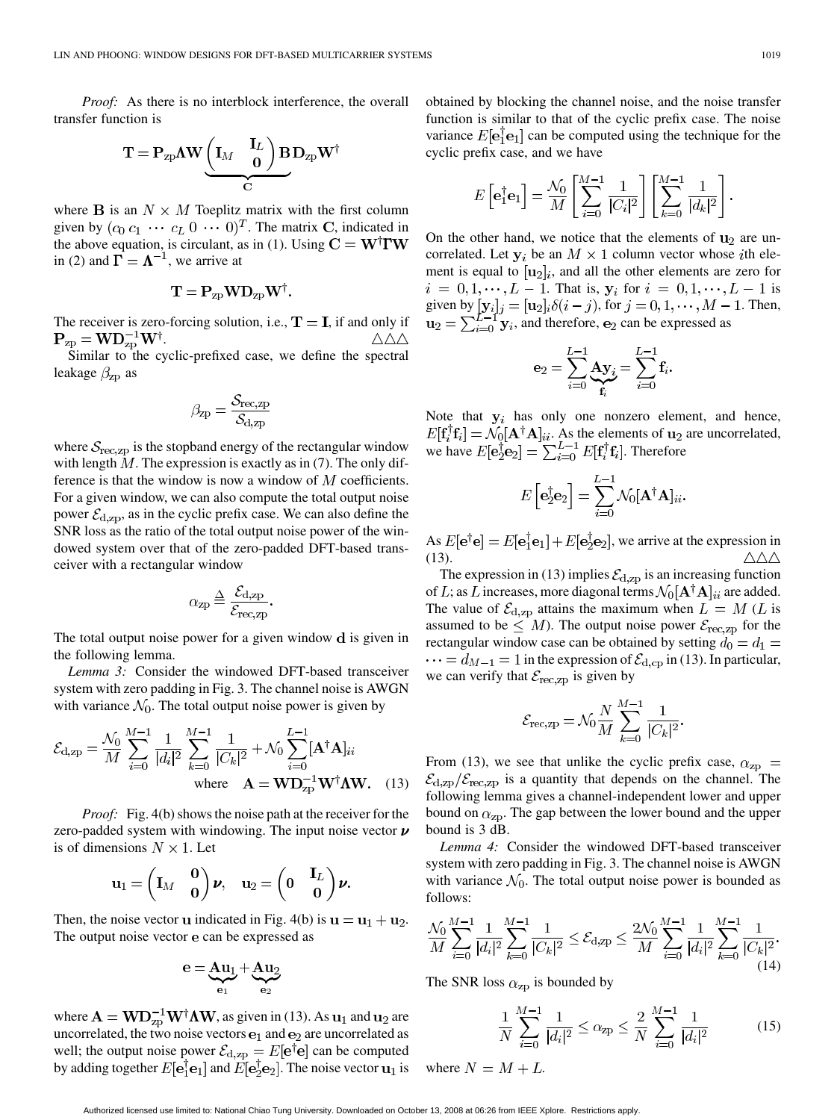*Proof:* As there is no interblock interference, the overall transfer function is

$$
\mathbf{T} = \mathbf{P}_{\text{zp}} \mathbf{\Lambda} \mathbf{W} \underbrace{\begin{pmatrix} \mathbf{I}_L & \mathbf{I}_L \\ \mathbf{0} & \mathbf{0} \end{pmatrix} \mathbf{B} \, \mathbf{D}_{\text{zp}} \mathbf{W}^\dagger}_{\text{C}}
$$

where **B** is an  $N \times M$  Toeplitz matrix with the first column given by  $(c_0 c_1 \cdots c_L 0 \cdots 0)^T$ . The matrix C, indicated in the above equation, is circulant, as in (1). Using  $C = W^{\dagger}TW$ in (2) and  $\Gamma = \Lambda^{-1}$ , we arrive at

$$
\mathbf{T} = \mathbf{P}_{\text{zp}} \mathbf{W} \mathbf{D}_{\text{zp}} \mathbf{W}^{\dagger}
$$

The receiver is zero-forcing solution, i.e.,  $T = I$ , if and only if  $P_{zp} = WD_{zp}^{-1}W^{\dagger}.$ 

Similar to the cyclic-prefixed case, we define the spectral leakage  $\beta_{\text{zp}}$  as

$$
\beta_{\rm zp} = \frac{\mathcal{S}_{\rm rec, zp}}{\mathcal{S}_{\rm d, zp}}
$$

where  $S_{\text{rec,zp}}$  is the stopband energy of the rectangular window with length  $M$ . The expression is exactly as in (7). The only difference is that the window is now a window of  $M$  coefficients. For a given window, we can also compute the total output noise power  $\mathcal{E}_{d,zp}$ , as in the cyclic prefix case. We can also define the SNR loss as the ratio of the total output noise power of the windowed system over that of the zero-padded DFT-based transceiver with a rectangular window

$$
\alpha_{\text{zp}} \stackrel{\Delta}{=} \frac{\mathcal{E}_{\text{d,zp}}}{\mathcal{E}_{\text{rec,zp}}}.
$$

The total output noise power for a given window  $\bf{d}$  is given in the following lemma.

*Lemma 3:* Consider the windowed DFT-based transceiver system with zero padding in Fig. 3. The channel noise is AWGN with variance  $\mathcal{N}_0$ . The total output noise power is given by

$$
\mathcal{E}_{\rm d, zp} = \frac{\mathcal{N}_0}{M} \sum_{i=0}^{M-1} \frac{1}{|d_i|^2} \sum_{k=0}^{M-1} \frac{1}{|C_k|^2} + \mathcal{N}_0 \sum_{i=0}^{L-1} [\mathbf{A}^\dagger \mathbf{A}]_{ii}
$$
  
where  $\mathbf{A} = \mathbf{W} \mathbf{D}_{\rm zp}^{-1} \mathbf{W}^\dagger \mathbf{\Lambda} \mathbf{W}.$  (13)

*Proof:* Fig. 4(b) shows the noise path at the receiver for the zero-padded system with windowing. The input noise vector  $\nu$ is of dimensions  $N \times 1$ . Let

$$
\mathbf{u}_1 = \begin{pmatrix} \mathbf{I}_M & \mathbf{0} \\ \mathbf{0} & \mathbf{0} \end{pmatrix} \boldsymbol{\nu}, \quad \mathbf{u}_2 = \begin{pmatrix} \mathbf{0} & \mathbf{I}_L \\ \mathbf{0} & \mathbf{0} \end{pmatrix} \boldsymbol{\nu}.
$$

Then, the noise vector **u** indicated in Fig. 4(b) is  $\mathbf{u} = \mathbf{u}_1 + \mathbf{u}_2$ . The output noise vector e can be expressed as

$$
\mathbf{e} = \underbrace{\mathbf{A}\mathbf{u}_1}_{\mathbf{e}_1} + \underbrace{\mathbf{A}\mathbf{u}_2}_{\mathbf{e}_2}
$$

where  $A = WD_{2D}^{-1}W^{\dagger}AW$ , as given in (13). As  $u_1$  and  $u_2$  are uncorrelated, the two noise vectors  $e_1$  and  $e_2$  are uncorrelated as well; the output noise power  $\mathcal{E}_{d,zp} = E[e^{\dagger}e]$  can be computed by adding together  $E[\mathbf{e}_1^{\mathsf{T}} \mathbf{e}_1]$  and  $E[\mathbf{e}_2^{\mathsf{T}} \mathbf{e}_2]$ . The noise vector  $\mathbf{u}_1$  is

obtained by blocking the channel noise, and the noise transfer function is similar to that of the cyclic prefix case. The noise variance  $E[e_1^{\dagger}e_1]$  can be computed using the technique for the cyclic prefix case, and we have

$$
E\left[\mathbf{e}_1^{\dagger} \mathbf{e}_1\right] = \frac{\mathcal{N}_0}{M} \left[\sum_{i=0}^{M-1} \frac{1}{|C_i|^2}\right] \left[\sum_{k=0}^{M-1} \frac{1}{|d_k|^2}\right].
$$

On the other hand, we notice that the elements of  $u_2$  are uncorrelated. Let  $y_i$  be an  $M \times 1$  column vector whose *i*th element is equal to  $[\mathbf{u}_2]_i$ , and all the other elements are zero for  $i = 0, 1, \dots, L - 1$ . That is,  $y_i$  for  $i = 0, 1, \dots, L - 1$  is given by  $[\mathbf{y}_i]_j = [\mathbf{u}_2]_i \delta(i-j)$ , for  $j = 0, 1, \dots, M - 1$ . Then,  $\mathbf{u}_2 = \sum_{i=0}^{L-1} \mathbf{y}_i$ , and therefore,  $\mathbf{e}_2$  can be expressed as

$$
\mathbf{e}_2 = \sum_{i=0}^{L-1} \underbrace{\mathbf{A} \mathbf{y}_i}_{\mathbf{f}_i} = \sum_{i=0}^{L-1} \mathbf{f}_i.
$$

Note that  $y_i$  has only one nonzero element, and hence, . As the elements of  $\mathbf{u}_2$  are uncorrelated, we have  $E[\mathbf{e}_2^1 \mathbf{e}_2] = \sum_{i=0}^{L-1} E[\mathbf{f}_i^1 \mathbf{f}_i]$ . Therefore

$$
E\left[\mathbf{e}_2^{\dagger} \mathbf{e}_2\right] = \sum_{i=0}^{L-1} \mathcal{N}_0[\mathbf{A}^{\dagger} \mathbf{A}]_{ii}.
$$

As  $E[\mathbf{e}^{\dagger} \mathbf{e}] = E[\mathbf{e}_1^{\dagger} \mathbf{e}_1] + E[\mathbf{e}_2^{\dagger} \mathbf{e}_2]$ , we arrive at the expression in (13).  $\triangle\triangle\triangle$ 

The expression in (13) implies  $\mathcal{E}_{d,zp}$  is an increasing function of L; as L increases, more diagonal terms  $\mathcal{N}_0[\mathbf{A}^\dagger \mathbf{A}]_{ii}$  are added. The value of  $\mathcal{E}_{d,zp}$  attains the maximum when  $L = M(L)$  is assumed to be  $\leq M$ ). The output noise power  $\mathcal{E}_{\text{rec,zp}}$  for the rectangular window case can be obtained by setting  $d_0 = d_1 =$  $\cdots = d_{M-1} = 1$  in the expression of  $\mathcal{E}_{d,cp}$  in (13). In particular, we can verify that  $\mathcal{E}_{\text{rec,zp}}$  is given by

$$
\mathcal{E}_{\text{rec,zp}} = \mathcal{N}_0 \frac{N}{M} \sum_{k=0}^{M-1} \frac{1}{|C_k|^2}.
$$

From (13), we see that unlike the cyclic prefix case,  $\alpha_{\text{zp}} =$  $\mathcal{E}_{d,zp}/\mathcal{E}_{rec,zp}$  is a quantity that depends on the channel. The following lemma gives a channel-independent lower and upper bound on  $\alpha_{\text{zp}}$ . The gap between the lower bound and the upper bound is 3 dB.

*Lemma 4:* Consider the windowed DFT-based transceiver system with zero padding in Fig. 3. The channel noise is AWGN with variance  $\mathcal{N}_0$ . The total output noise power is bounded as follows:

$$
\frac{\mathcal{N}_0}{M} \sum_{i=0}^{M-1} \frac{1}{|d_i|^2} \sum_{k=0}^{M-1} \frac{1}{|C_k|^2} \le \mathcal{E}_{\mathrm{d, zp}} \le \frac{2\mathcal{N}_0}{M} \sum_{i=0}^{M-1} \frac{1}{|d_i|^2} \sum_{k=0}^{M-1} \frac{1}{|C_k|^2}.
$$
\n(14)

The SNR loss  $\alpha_{\text{zp}}$  is bounded by

$$
\frac{1}{N} \sum_{i=0}^{M-1} \frac{1}{|d_i|^2} \le \alpha_{\text{Zp}} \le \frac{2}{N} \sum_{i=0}^{M-1} \frac{1}{|d_i|^2} \tag{15}
$$

where  $N = M + L$ .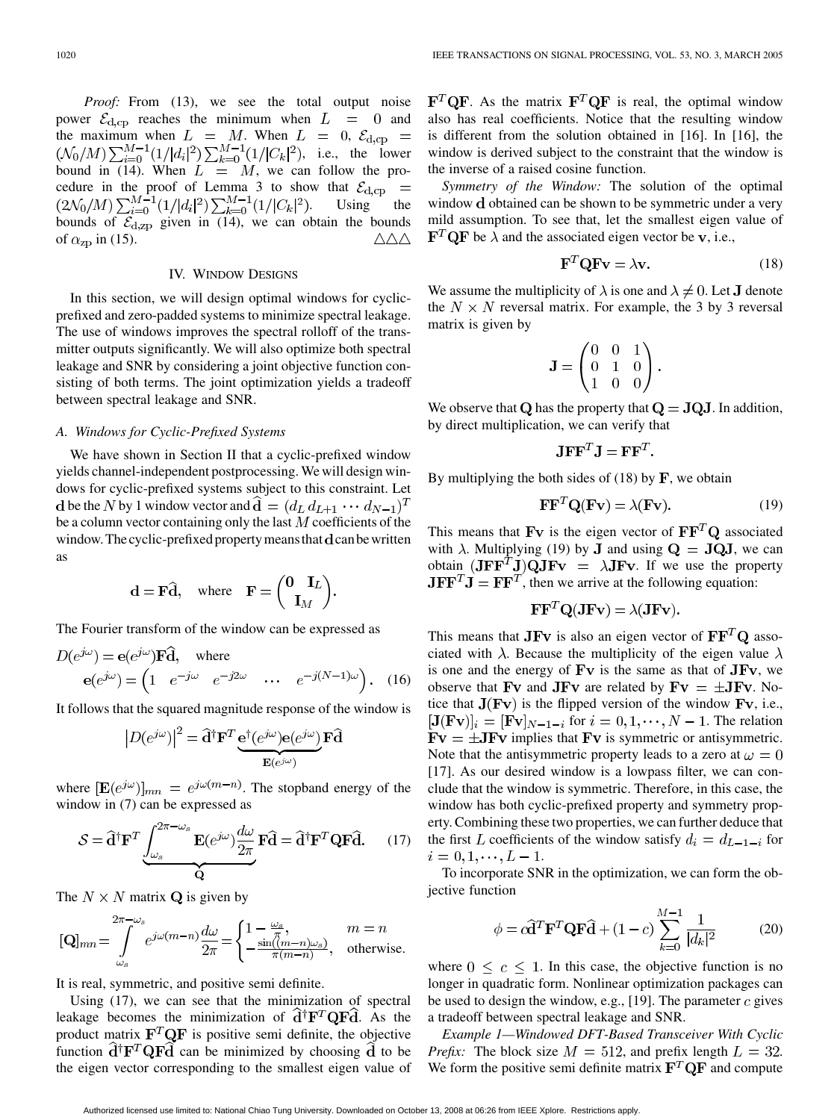*Proof:* From (13), we see the total output noise power  $\mathcal{E}_{\text{d},\text{cp}}$  reaches the minimum when  $L = 0$  and the maximum when  $L = M$ . When  $L = 0$ , , i.e., the lower bound in (14). When  $L = M$ , we can follow the procedure in the proof of Lemma 3 to show that . Using the bounds of  $\mathcal{E}_{d,zp}$  given in (14), we can obtain the bounds of  $\alpha_{\text{zp}}$  in (15).  $\triangle \triangle \triangle$ 

## IV. WINDOW DESIGNS

In this section, we will design optimal windows for cyclicprefixed and zero-padded systems to minimize spectral leakage. The use of windows improves the spectral rolloff of the transmitter outputs significantly. We will also optimize both spectral leakage and SNR by considering a joint objective function consisting of both terms. The joint optimization yields a tradeoff between spectral leakage and SNR.

#### *A. Windows for Cyclic-Prefixed Systems*

We have shown in Section II that a cyclic-prefixed window yields channel-independent postprocessing. We will design windows for cyclic-prefixed systems subject to this constraint. Let **d** be the N by 1 window vector and  $\hat{\mathbf{d}} = (d_L d_{L+1} \cdots d_{N-1})^T$ be a column vector containing only the last  $M$  coefficients of the window. The cyclic-prefixed property means that  $\mathbf d$  can be written as

$$
\mathbf{d} = \mathbf{F}\widehat{\mathbf{d}}, \quad \text{where} \quad \mathbf{F} = \begin{pmatrix} \mathbf{0} & \mathbf{I}_L \\ \mathbf{I}_M \end{pmatrix}.
$$

The Fourier transform of the window can be expressed as

$$
D(e^{j\omega}) = \mathbf{e}(e^{j\omega})\mathbf{F}\hat{\mathbf{d}}, \text{ where}
$$
  
\n
$$
\mathbf{e}(e^{j\omega}) = \begin{pmatrix} 1 & e^{-j\omega} & e^{-j2\omega} & \cdots & e^{-j(N-1)\omega} \end{pmatrix}.
$$
 (16)

It follows that the squared magnitude response of the window is

$$
|D(e^{j\omega})|^2 = \hat{\mathbf{d}}^{\dagger} \mathbf{F}^T \underbrace{\mathbf{e}^{\dagger}(e^{j\omega}) \mathbf{e}(e^{j\omega})}_{\mathbf{E}(e^{j\omega})} \mathbf{F} \hat{\mathbf{d}}
$$

where  $[\mathbf{E}(e^{j\omega})]_{mn} = e^{j\omega(m-n)}$ . The stopband energy of the window in (7) can be expressed as

$$
S = \hat{\mathbf{d}}^{\dagger} \mathbf{F}^T \underbrace{\int_{\omega_s}^{2\pi - \omega_s} \mathbf{E}(e^{j\omega}) \frac{d\omega}{2\pi} \mathbf{F} \hat{\mathbf{d}} = \hat{\mathbf{d}}^{\dagger} \mathbf{F}^T \mathbf{Q} \mathbf{F} \hat{\mathbf{d}}. \quad (17)
$$

The  $N \times N$  matrix **Q** is given by

 $\overline{a}$ 

$$
[\mathbf{Q}]_{mn} = \int_{\omega_s}^{2\pi - \omega_s} e^{j\omega(m-n)} \frac{d\omega}{2\pi} = \begin{cases} 1 - \frac{\omega_s}{\pi}, & m = n \\ -\frac{\sin((m-n)\omega_s)}{\pi(m-n)}, & \text{otherwise.} \end{cases}
$$

It is real, symmetric, and positive semi definite.

Using (17), we can see that the minimization of spectral leakage becomes the minimization of  $\hat{d}^{\dagger}F^{T}QF\hat{d}$ . As the product matrix  $\mathbf{F}^T \mathbf{Q} \mathbf{F}$  is positive semi definite, the objective function  $\hat{\mathbf{d}}^{\dagger} \mathbf{F}^T \mathbf{Q} \mathbf{F} \hat{\mathbf{d}}$  can be minimized by choosing  $\hat{\mathbf{d}}$  to be the eigen vector corresponding to the smallest eigen value of

**. As the matrix**  $**F**<sup>T</sup>**QF**$  **is real, the optimal window** also has real coefficients. Notice that the resulting window is different from the solution obtained in [[16\]](#page-8-0). In [\[16](#page-8-0)], the window is derived subject to the constraint that the window is the inverse of a raised cosine function.

*Symmetry of the Window:* The solution of the optimal window d obtained can be shown to be symmetric under a very mild assumption. To see that, let the smallest eigen value of  $\mathbf{F}^T \mathbf{Q} \mathbf{F}$  be  $\lambda$  and the associated eigen vector be v, i.e.,

$$
\mathbf{F}^T \mathbf{Q} \mathbf{F} \mathbf{v} = \lambda \mathbf{v}.
$$
 (18)

We assume the multiplicity of  $\lambda$  is one and  $\lambda \neq 0$ . Let **J** denote the  $N \times N$  reversal matrix. For example, the 3 by 3 reversal matrix is given by

$$
\mathbf{J} = \begin{pmatrix} 0 & 0 & 1 \\ 0 & 1 & 0 \\ 1 & 0 & 0 \end{pmatrix}.
$$

We observe that Q has the property that  $Q = JQJ$ . In addition, by direct multiplication, we can verify that

$$
\mathbf{J} \mathbf{F} \mathbf{F}^T \mathbf{J} = \mathbf{F} \mathbf{F}^T.
$$

By multiplying the both sides of (18) by  $\mathbf{F}$ , we obtain

$$
\mathbf{FF}^T \mathbf{Q}(\mathbf{Fv}) = \lambda(\mathbf{Fv}).\tag{19}
$$

This means that  $\mathbf{Fv}$  is the eigen vector of  $\mathbf{FF}^T\mathbf{Q}$  associated with  $\lambda$ . Multiplying (19) by **J** and using  $\mathbf{Q} = \mathbf{JQJ}$ , we can obtain  $(JFF<sup>T</sup>J)QJFv = \lambda JFv$ . If we use the property  $JFF<sup>T</sup>$   $J = FF<sup>T'</sup>$ , then we arrive at the following equation:

$$
\mathbf{FF}^T \mathbf{Q}(\mathbf{JFv}) = \lambda(\mathbf{JFv}).
$$

This means that  $JFv$  is also an eigen vector of  $\mathbf{FF}^TQ$  associated with  $\lambda$ . Because the multiplicity of the eigen value  $\lambda$ is one and the energy of  $Fv$  is the same as that of  $JFv$ , we observe that  $\bf{Fv}$  and  $\bf{JFv}$  are related by  $\bf{Fv} = \pm \bf{JFv}$ . Notice that  $J(Fv)$  is the flipped version of the window  $Fv$ , i.e.,  $[\mathbf{J}(\mathbf{Fv})]_i = [\mathbf{Fv}]_{N-1-i}$  for  $i = 0, 1, \dots, N-1$ . The relation  $\mathbf{F} \mathbf{v} = \pm \mathbf{J} \mathbf{F} \mathbf{v}$  implies that  $\mathbf{F} \mathbf{v}$  is symmetric or antisymmetric. Note that the antisymmetric property leads to a zero at  $\omega = 0$ [[17\]](#page-9-0). As our desired window is a lowpass filter, we can conclude that the window is symmetric. Therefore, in this case, the window has both cyclic-prefixed property and symmetry property. Combining these two properties, we can further deduce that the first L coefficients of the window satisfy  $d_i = d_{L-1-i}$  for  $i = 0, 1, \dots, L - 1.$ 

To incorporate SNR in the optimization, we can form the objective function

$$
\phi = c\hat{\mathbf{d}}^T \mathbf{F}^T \mathbf{Q} \mathbf{F} \hat{\mathbf{d}} + (1 - c) \sum_{k=0}^{M-1} \frac{1}{|d_k|^2}
$$
(20)

where  $0 \leq c \leq 1$ . In this case, the objective function is no longer in quadratic form. Nonlinear optimization packages can be used to design the window, e.g., [[19\]](#page-9-0). The parameter  $c$  gives a tradeoff between spectral leakage and SNR.

*Example 1—Windowed DFT-Based Transceiver With Cyclic Prefix:* The block size  $M = 512$ , and prefix length  $L = 32$ . We form the positive semi definite matrix  $\mathbf{F}^T \mathbf{Q} \mathbf{F}$  and compute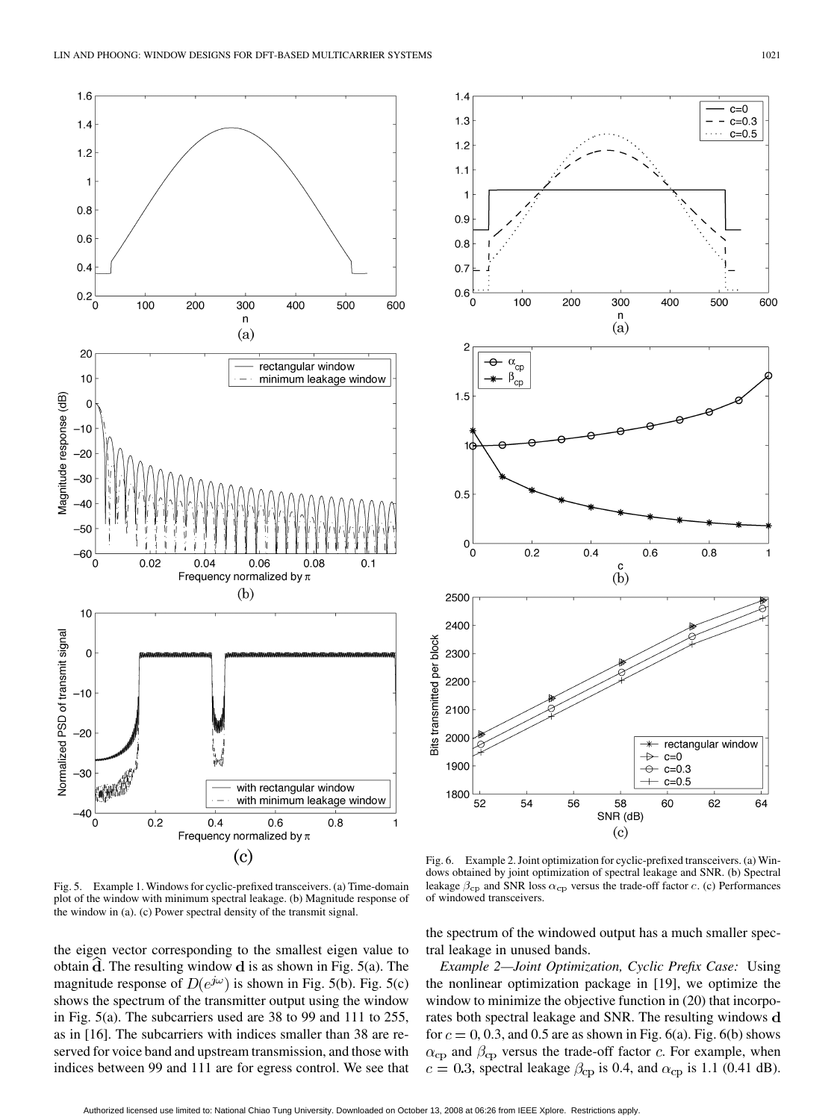

Fig. 5. Example 1. Windows for cyclic-prefixed transceivers. (a) Time-domain plot of the window with minimum spectral leakage. (b) Magnitude response of the window in (a). (c) Power spectral density of the transmit signal.

the eigen vector corresponding to the smallest eigen value to obtain  $d$ . The resulting window  $d$  is as shown in Fig. 5(a). The magnitude response of  $D(e^{j\omega})$  is shown in Fig. 5(b). Fig. 5(c) shows the spectrum of the transmitter output using the window in Fig. 5(a). The subcarriers used are 38 to 99 and 111 to 255, as in [\[16](#page-8-0)]. The subcarriers with indices smaller than 38 are reserved for voice band and upstream transmission, and those with indices between 99 and 111 are for egress control. We see that



Fig. 6. Example 2. Joint optimization for cyclic-prefixed transceivers. (a) Windows obtained by joint optimization of spectral leakage and SNR. (b) Spectral leakage  $\beta_{\rm cp}$  and SNR loss  $\alpha_{\rm cp}$  versus the trade-off factor c. (c) Performances of windowed transceivers.

the spectrum of the windowed output has a much smaller spectral leakage in unused bands.

*Example 2—Joint Optimization, Cyclic Prefix Case:* Using the nonlinear optimization package in [\[19](#page-9-0)], we optimize the window to minimize the objective function in (20) that incorporates both spectral leakage and SNR. The resulting windows for  $c = 0, 0.3$ , and 0.5 are as shown in Fig. 6(a). Fig. 6(b) shows  $\alpha_{\rm cp}$  and  $\beta_{\rm cp}$  versus the trade-off factor c. For example, when  $c = 0.3$ , spectral leakage  $\beta_{cp}$  is 0.4, and  $\alpha_{cp}$  is 1.1 (0.41 dB).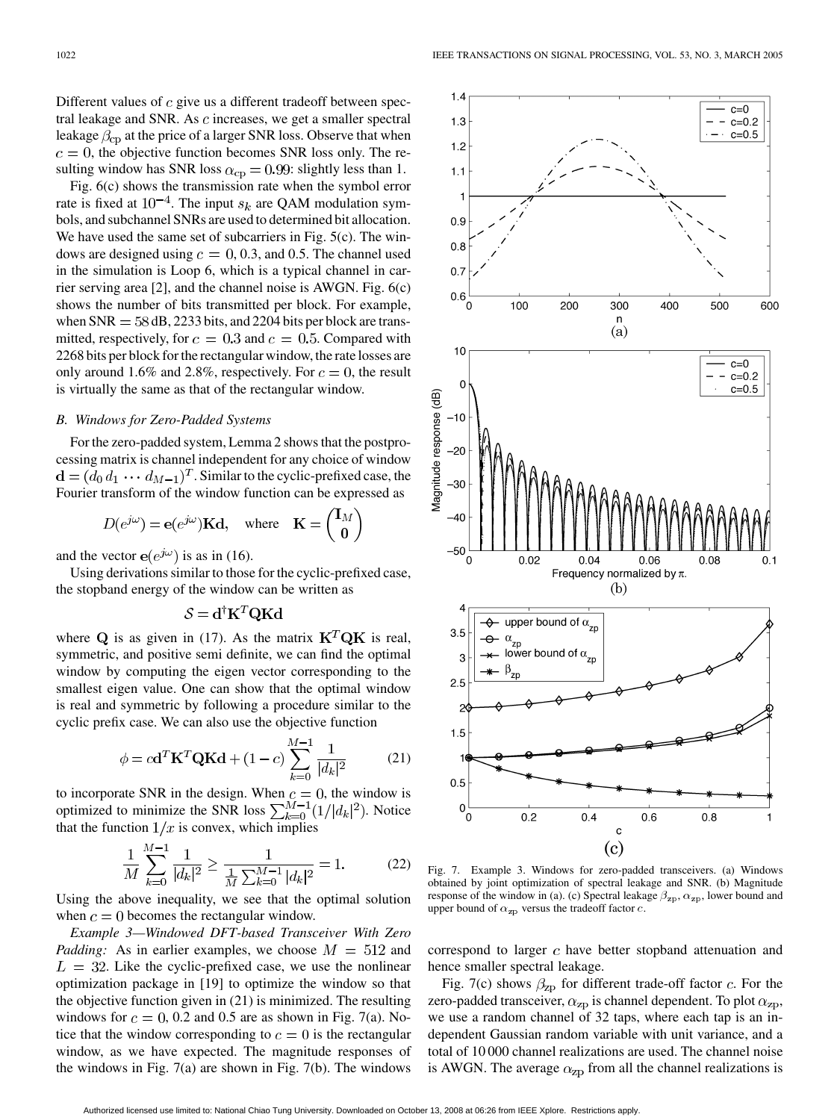Different values of  $c$  give us a different tradeoff between spectral leakage and SNR. As  $c$  increases, we get a smaller spectral leakage  $\beta_{\rm cp}$  at the price of a larger SNR loss. Observe that when  $c = 0$ , the objective function becomes SNR loss only. The resulting window has SNR loss  $\alpha_{cp} = 0.99$ : slightly less than 1.

Fig. 6(c) shows the transmission rate when the symbol error rate is fixed at  $10^{-4}$ . The input  $s_k$  are QAM modulation symbols, and subchannel SNRs are used to determined bit allocation. We have used the same set of subcarriers in Fig. 5(c). The windows are designed using  $c = 0, 0.3$ , and 0.5. The channel used in the simulation is Loop 6, which is a typical channel in carrier serving area [\[2](#page-8-0)], and the channel noise is AWGN. Fig. 6(c) shows the number of bits transmitted per block. For example, when  $SNR = 58 dB$ , 2233 bits, and 2204 bits per block are transmitted, respectively, for  $c = 0.3$  and  $c = 0.5$ . Compared with 2268 bits per block for the rectangular window, the rate losses are only around 1.6% and 2.8%, respectively. For  $c = 0$ , the result is virtually the same as that of the rectangular window.

## *B. Windows for Zero-Padded Systems*

For the zero-padded system, Lemma 2 shows that the postprocessing matrix is channel independent for any choice of window  $\mathbf{d} = (d_0 d_1 \cdots d_{M-1})^T$ . Similar to the cyclic-prefixed case, the Fourier transform of the window function can be expressed as

$$
D(e^{j\omega}) = e(e^{j\omega})\mathbf{Kd}
$$
, where  $\mathbf{K} = \begin{pmatrix} \mathbf{I}_M \\ \mathbf{0} \end{pmatrix}$ 

and the vector  $e(e^{j\omega})$  is as in (16).

Using derivations similar to those for the cyclic-prefixed case, the stopband energy of the window can be written as

$$
\mathcal{S} = \mathbf{d}^{\dagger} \mathbf{K}^T \mathbf{Q} \mathbf{K} \mathbf{d}
$$

where Q is as given in (17). As the matrix  $\mathbf{K}^T \mathbf{Q} \mathbf{K}$  is real, symmetric, and positive semi definite, we can find the optimal window by computing the eigen vector corresponding to the smallest eigen value. One can show that the optimal window is real and symmetric by following a procedure similar to the cyclic prefix case. We can also use the objective function

$$
\phi = c\mathbf{d}^T \mathbf{K}^T \mathbf{Q} \mathbf{K} \mathbf{d} + (1 - c) \sum_{k=0}^{M-1} \frac{1}{|d_k|^2}
$$
(21)

to incorporate SNR in the design. When  $c = 0$ , the window is optimized to minimize the SNR loss  $\sum_{k=0}^{M-1} (1/|d_k|^2)$ . Notice that the function  $1/x$  is convex, which implies

$$
\frac{1}{M} \sum_{k=0}^{M-1} \frac{1}{|d_k|^2} \ge \frac{1}{\frac{1}{M} \sum_{k=0}^{M-1} |d_k|^2} = 1.
$$
 (22)

Using the above inequality, we see that the optimal solution when  $c = 0$  becomes the rectangular window.

*Example 3—Windowed DFT-based Transceiver With Zero Padding:* As in earlier examples, we choose  $M = 512$  and  $L = 32$ . Like the cyclic-prefixed case, we use the nonlinear optimization package in [[19\]](#page-9-0) to optimize the window so that the objective function given in (21) is minimized. The resulting windows for  $c = 0$ , 0.2 and 0.5 are as shown in Fig. 7(a). Notice that the window corresponding to  $c = 0$  is the rectangular window, as we have expected. The magnitude responses of the windows in Fig. 7(a) are shown in Fig. 7(b). The windows



Fig. 7. Example 3. Windows for zero-padded transceivers. (a) Windows obtained by joint optimization of spectral leakage and SNR. (b) Magnitude response of the window in (a). (c) Spectral leakage  $\beta_{\text{zp}}, \alpha_{\text{zp}}$ , lower bound and upper bound of  $\alpha_{\rm zp}$  versus the tradeoff factor c.

correspond to larger  $c$  have better stopband attenuation and hence smaller spectral leakage.

Fig. 7(c) shows  $\beta_{\text{zp}}$  for different trade-off factor c. For the zero-padded transceiver,  $\alpha_{\rm zp}$  is channel dependent. To plot  $\alpha_{\rm zp}$ , we use a random channel of 32 taps, where each tap is an independent Gaussian random variable with unit variance, and a total of 10 000 channel realizations are used. The channel noise is AWGN. The average  $\alpha_{\text{zp}}$  from all the channel realizations is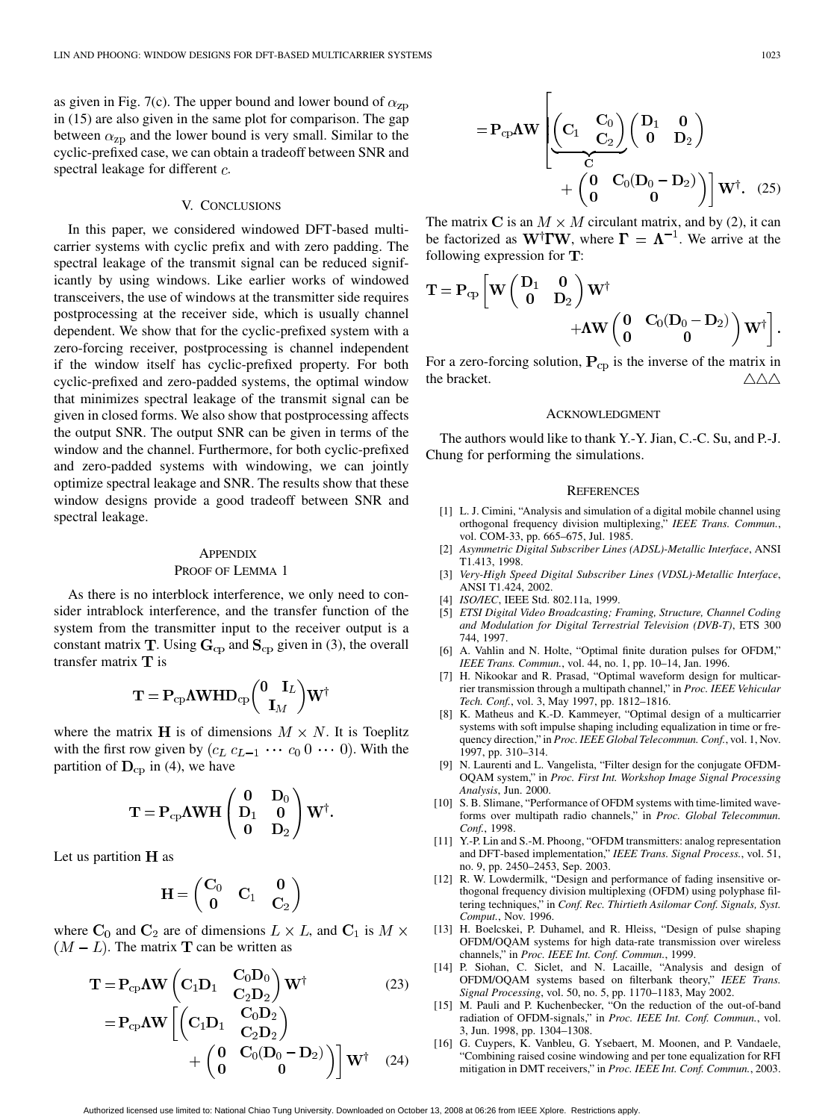<span id="page-8-0"></span>as given in Fig. 7(c). The upper bound and lower bound of  $\alpha_{\text{zp}}$ in (15) are also given in the same plot for comparison. The gap between  $\alpha_{\text{zp}}$  and the lower bound is very small. Similar to the cyclic-prefixed case, we can obtain a tradeoff between SNR and spectral leakage for different  $c$ .

## V. CONCLUSIONS

In this paper, we considered windowed DFT-based multicarrier systems with cyclic prefix and with zero padding. The spectral leakage of the transmit signal can be reduced significantly by using windows. Like earlier works of windowed transceivers, the use of windows at the transmitter side requires postprocessing at the receiver side, which is usually channel dependent. We show that for the cyclic-prefixed system with a zero-forcing receiver, postprocessing is channel independent if the window itself has cyclic-prefixed property. For both cyclic-prefixed and zero-padded systems, the optimal window that minimizes spectral leakage of the transmit signal can be given in closed forms. We also show that postprocessing affects the output SNR. The output SNR can be given in terms of the window and the channel. Furthermore, for both cyclic-prefixed and zero-padded systems with windowing, we can jointly optimize spectral leakage and SNR. The results show that these window designs provide a good tradeoff between SNR and spectral leakage.

## **APPENDIX**

#### PROOF OF LEMMA 1

As there is no interblock interference, we only need to consider intrablock interference, and the transfer function of the system from the transmitter input to the receiver output is a constant matrix **T**. Using  $\mathbf{G}_{cp}$  and  $\mathbf{S}_{cp}$  given in (3), the overall transfer matrix  $T$  is

$$
\mathbf{T} = \mathbf{P}_{\rm cp}\boldsymbol{\Lambda} {\mathbf{W}} \mathbf{H} \mathbf{D}_{\rm cp} {\begin{pmatrix} \mathbf{0} & \mathbf{I}_L \\ \mathbf{I}_M \end{pmatrix}} \mathbf{W}^\dagger
$$

where the matrix **H** is of dimensions  $M \times N$ . It is Toeplitz with the first row given by  $(c_L c_{L-1} \cdots c_0 0 \cdots 0)$ . With the partition of  $D_{cp}$  in (4), we have

$$
\mathbf{T} = \mathbf{P}_{cp} \mathbf{\Lambda} \mathbf{W} \mathbf{H} \begin{pmatrix} \mathbf{0} & \mathbf{D}_0 \\ \mathbf{D}_1 & \mathbf{0} \\ \mathbf{0} & \mathbf{D}_2 \end{pmatrix} \mathbf{W}^{\dagger}.
$$

Let us partition  $H$  as

$$
\mathbf{H} = \begin{pmatrix} \mathbf{C}_0 & \mathbf{C}_1 & \mathbf{0} \\ \mathbf{0} & \mathbf{C}_1 & \mathbf{C}_2 \end{pmatrix}
$$

where  $C_0$  and  $C_2$  are of dimensions  $L \times L$ , and  $C_1$  is  $M \times L$  $(M - L)$ . The matrix **T** can be written as

$$
\mathbf{T} = \mathbf{P}_{cp} \mathbf{\Lambda} \mathbf{W} \begin{pmatrix} \mathbf{C}_1 \mathbf{D}_1 & \mathbf{C}_0 \mathbf{D}_0 \\ \mathbf{C}_2 \mathbf{D}_2 \end{pmatrix} \mathbf{W}^\dagger
$$
(23)  

$$
= \text{trace} \begin{bmatrix} \begin{pmatrix} \mathbf{C}_1 \mathbf{D}_1 & \mathbf{C}_0 \mathbf{D}_2 \end{pmatrix} \end{bmatrix}
$$

$$
= P_{cp}\Lambda W \left[ \begin{pmatrix} C_1D_1 & C_0D_2 \\ C_2D_2 \end{pmatrix} + \begin{pmatrix} 0 & C_0(D_0 - D_2) \\ 0 & 0 \end{pmatrix} \right] W^{\dagger} \quad (24)
$$

$$
= P_{cp} \Lambda W \left[ \underbrace{\begin{pmatrix} C_1 & C_0 \\ C_2 & C_2 \end{pmatrix}}_{C} \begin{pmatrix} D_1 & 0 \\ 0 & D_2 \end{pmatrix} + \begin{pmatrix} 0 & C_0(D_0 - D_2) \\ 0 & 0 \end{pmatrix} \right] W^{\dagger}. \tag{25}
$$

The matrix C is an  $M \times M$  circulant matrix, and by (2), it can be factorized as  $W^{\dagger} \Gamma W$ , where  $\Gamma = \Lambda^{-1}$ . We arrive at the following expression for  $T$ :

$$
\mathbf{T} = \mathbf{P}_{\rm cp} \left[ \mathbf{W} \begin{pmatrix} \mathbf{D}_1 & \mathbf{0} \\ \mathbf{0} & \mathbf{D}_2 \end{pmatrix} \mathbf{W}^{\dagger} + \mathbf{A} \mathbf{W} \begin{pmatrix} \mathbf{0} & \mathbf{C}_0 (\mathbf{D}_0 - \mathbf{D}_2) \\ \mathbf{0} & \mathbf{0} \end{pmatrix} \mathbf{W}^{\dagger} \right].
$$

For a zero-forcing solution,  $P_{cp}$  is the inverse of the matrix in the bracket.  $\triangle \triangle \triangle$ 

#### ACKNOWLEDGMENT

The authors would like to thank Y.-Y. Jian, C.-C. Su, and P.-J. Chung for performing the simulations.

#### **REFERENCES**

- [1] L. J. Cimini, "Analysis and simulation of a digital mobile channel using orthogonal frequency division multiplexing," *IEEE Trans. Commun.*, vol. COM-33, pp. 665–675, Jul. 1985.
- [2] *Asymmetric Digital Subscriber Lines (ADSL)-Metallic Interface*, ANSI T1.413, 1998.
- [3] *Very-High Speed Digital Subscriber Lines (VDSL)-Metallic Interface*, ANSI T1.424, 2002.
- [4] *ISO/IEC*, IEEE Std. 802.11a, 1999.
- [5] *ETSI Digital Video Broadcasting; Framing, Structure, Channel Coding and Modulation for Digital Terrestrial Television (DVB-T)*, ETS 300 744, 1997.
- [6] A. Vahlin and N. Holte, "Optimal finite duration pulses for OFDM," *IEEE Trans. Commun.*, vol. 44, no. 1, pp. 10–14, Jan. 1996.
- [7] H. Nikookar and R. Prasad, "Optimal waveform design for multicarrier transmission through a multipath channel," in *Proc. IEEE Vehicular Tech. Conf.*, vol. 3, May 1997, pp. 1812–1816.
- [8] K. Matheus and K.-D. Kammeyer, "Optimal design of a multicarrier systems with soft impulse shaping including equalization in time or frequency direction," in *Proc. IEEE Global Telecommun. Conf.*, vol. 1, Nov. 1997, pp. 310–314.
- [9] N. Laurenti and L. Vangelista, "Filter design for the conjugate OFDM-OQAM system," in *Proc. First Int. Workshop Image Signal Processing Analysis*, Jun. 2000.
- [10] S. B. Slimane, "Performance of OFDM systems with time-limited waveforms over multipath radio channels," in *Proc. Global Telecommun. Conf.*, 1998.
- [11] Y.-P. Lin and S.-M. Phoong, "OFDM transmitters: analog representation and DFT-based implementation," *IEEE Trans. Signal Process.*, vol. 51, no. 9, pp. 2450–2453, Sep. 2003.
- [12] R. W. Lowdermilk, "Design and performance of fading insensitive orthogonal frequency division multiplexing (OFDM) using polyphase filtering techniques," in *Conf. Rec. Thirtieth Asilomar Conf. Signals, Syst. Comput.*, Nov. 1996.
- [13] H. Boelcskei, P. Duhamel, and R. Hleiss, "Design of pulse shaping OFDM/OQAM systems for high data-rate transmission over wireless channels," in *Proc. IEEE Int. Conf. Commun.*, 1999.
- [14] P. Siohan, C. Siclet, and N. Lacaille, "Analysis and design of OFDM/OQAM systems based on filterbank theory," *IEEE Trans. Signal Processing*, vol. 50, no. 5, pp. 1170–1183, May 2002.
- [15] M. Pauli and P. Kuchenbecker, "On the reduction of the out-of-band radiation of OFDM-signals," in *Proc. IEEE Int. Conf. Commun.*, vol. 3, Jun. 1998, pp. 1304–1308.
- [16] G. Cuypers, K. Vanbleu, G. Ysebaert, M. Moonen, and P. Vandaele, "Combining raised cosine windowing and per tone equalization for RFI mitigation in DMT receivers," in *Proc. IEEE Int. Conf. Commun.*, 2003.